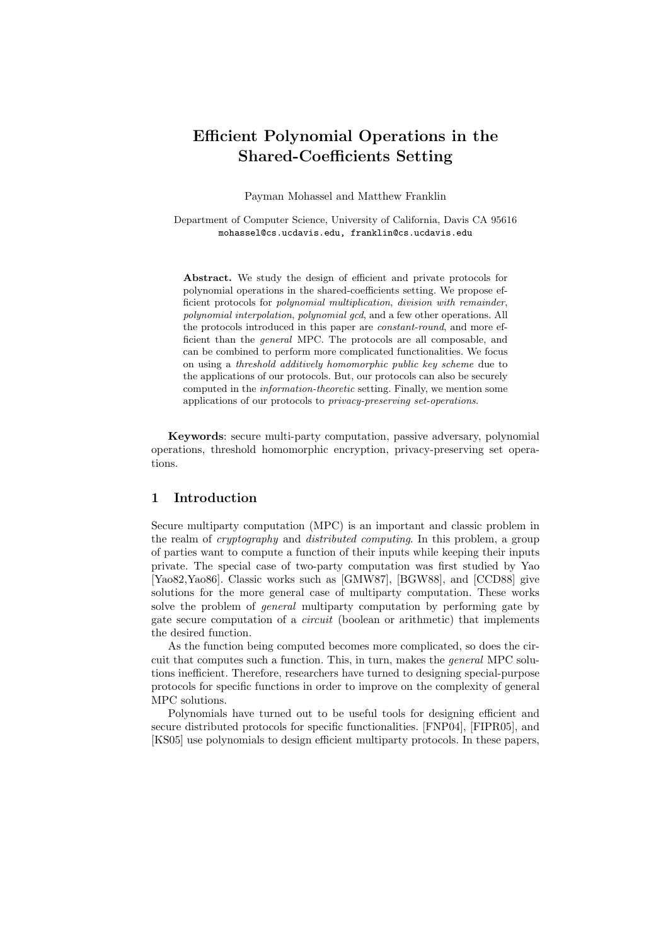# Efficient Polynomial Operations in the Shared-Coefficients Setting

Payman Mohassel and Matthew Franklin

Department of Computer Science, University of California, Davis CA 95616 mohassel@cs.ucdavis.edu, franklin@cs.ucdavis.edu

Abstract. We study the design of efficient and private protocols for polynomial operations in the shared-coefficients setting. We propose efficient protocols for polynomial multiplication, division with remainder, polynomial interpolation, polynomial gcd, and a few other operations. All the protocols introduced in this paper are constant-round, and more efficient than the general MPC. The protocols are all composable, and can be combined to perform more complicated functionalities. We focus on using a threshold additively homomorphic public key scheme due to the applications of our protocols. But, our protocols can also be securely computed in the information-theoretic setting. Finally, we mention some applications of our protocols to privacy-preserving set-operations.

Keywords: secure multi-party computation, passive adversary, polynomial operations, threshold homomorphic encryption, privacy-preserving set operations.

# 1 Introduction

Secure multiparty computation (MPC) is an important and classic problem in the realm of cryptography and distributed computing. In this problem, a group of parties want to compute a function of their inputs while keeping their inputs private. The special case of two-party computation was first studied by Yao [Yao82,Yao86]. Classic works such as [GMW87], [BGW88], and [CCD88] give solutions for the more general case of multiparty computation. These works solve the problem of general multiparty computation by performing gate by gate secure computation of a *circuit* (boolean or arithmetic) that implements the desired function.

As the function being computed becomes more complicated, so does the circuit that computes such a function. This, in turn, makes the general MPC solutions inefficient. Therefore, researchers have turned to designing special-purpose protocols for specific functions in order to improve on the complexity of general MPC solutions.

Polynomials have turned out to be useful tools for designing efficient and secure distributed protocols for specific functionalities. [FNP04], [FIPR05], and [KS05] use polynomials to design efficient multiparty protocols. In these papers,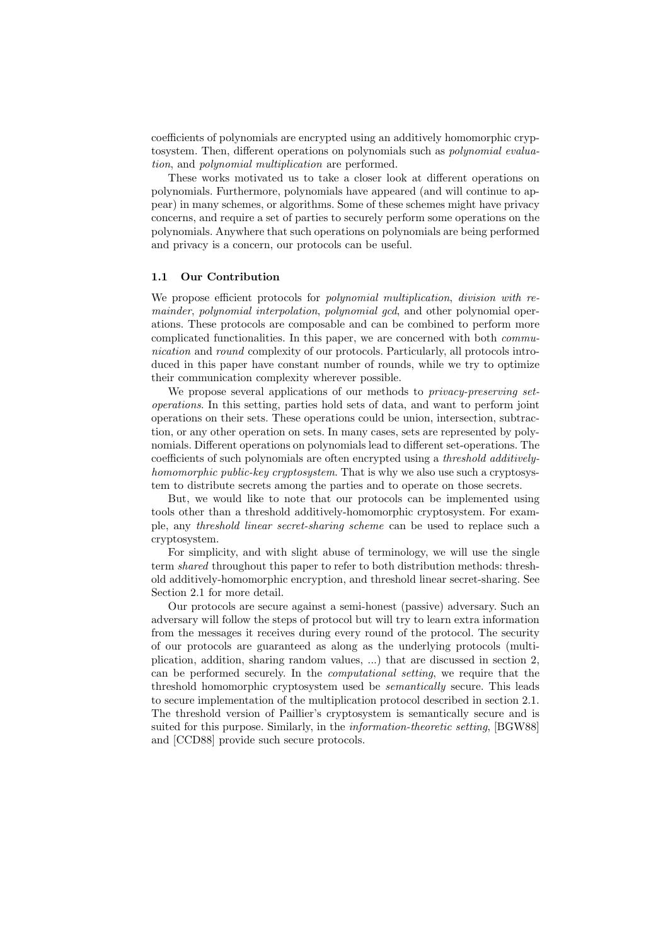coefficients of polynomials are encrypted using an additively homomorphic cryptosystem. Then, different operations on polynomials such as polynomial evaluation, and polynomial multiplication are performed.

These works motivated us to take a closer look at different operations on polynomials. Furthermore, polynomials have appeared (and will continue to appear) in many schemes, or algorithms. Some of these schemes might have privacy concerns, and require a set of parties to securely perform some operations on the polynomials. Anywhere that such operations on polynomials are being performed and privacy is a concern, our protocols can be useful.

### 1.1 Our Contribution

We propose efficient protocols for *polynomial multiplication*, *division with re*mainder, polynomial interpolation, polynomial gcd, and other polynomial operations. These protocols are composable and can be combined to perform more complicated functionalities. In this paper, we are concerned with both communication and round complexity of our protocols. Particularly, all protocols introduced in this paper have constant number of rounds, while we try to optimize their communication complexity wherever possible.

We propose several applications of our methods to *privacy-preserving set*operations. In this setting, parties hold sets of data, and want to perform joint operations on their sets. These operations could be union, intersection, subtraction, or any other operation on sets. In many cases, sets are represented by polynomials. Different operations on polynomials lead to different set-operations. The coefficients of such polynomials are often encrypted using a threshold additivelyhomomorphic public-key cryptosystem. That is why we also use such a cryptosystem to distribute secrets among the parties and to operate on those secrets.

But, we would like to note that our protocols can be implemented using tools other than a threshold additively-homomorphic cryptosystem. For example, any threshold linear secret-sharing scheme can be used to replace such a cryptosystem.

For simplicity, and with slight abuse of terminology, we will use the single term shared throughout this paper to refer to both distribution methods: threshold additively-homomorphic encryption, and threshold linear secret-sharing. See Section 2.1 for more detail.

Our protocols are secure against a semi-honest (passive) adversary. Such an adversary will follow the steps of protocol but will try to learn extra information from the messages it receives during every round of the protocol. The security of our protocols are guaranteed as along as the underlying protocols (multiplication, addition, sharing random values, ...) that are discussed in section 2, can be performed securely. In the computational setting, we require that the threshold homomorphic cryptosystem used be *semantically* secure. This leads to secure implementation of the multiplication protocol described in section 2.1. The threshold version of Paillier's cryptosystem is semantically secure and is suited for this purpose. Similarly, in the *information-theoretic setting*, [BGW88] and [CCD88] provide such secure protocols.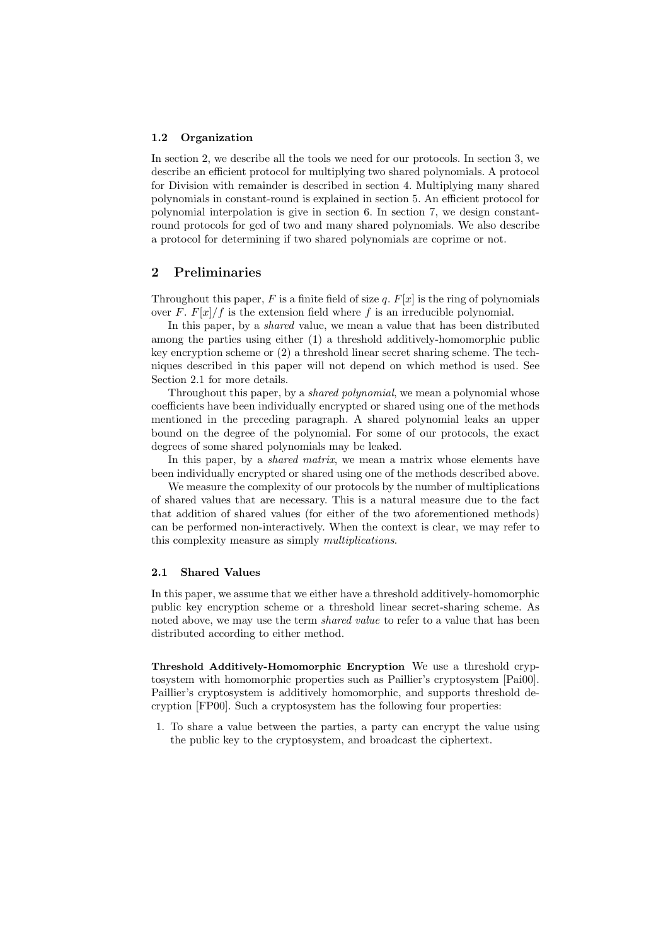### 1.2 Organization

In section 2, we describe all the tools we need for our protocols. In section 3, we describe an efficient protocol for multiplying two shared polynomials. A protocol for Division with remainder is described in section 4. Multiplying many shared polynomials in constant-round is explained in section 5. An efficient protocol for polynomial interpolation is give in section 6. In section 7, we design constantround protocols for gcd of two and many shared polynomials. We also describe a protocol for determining if two shared polynomials are coprime or not.

# 2 Preliminaries

Throughout this paper, F is a finite field of size q.  $F[x]$  is the ring of polynomials over F.  $F[x]/f$  is the extension field where f is an irreducible polynomial.

In this paper, by a shared value, we mean a value that has been distributed among the parties using either (1) a threshold additively-homomorphic public key encryption scheme or (2) a threshold linear secret sharing scheme. The techniques described in this paper will not depend on which method is used. See Section 2.1 for more details.

Throughout this paper, by a *shared polynomial*, we mean a polynomial whose coefficients have been individually encrypted or shared using one of the methods mentioned in the preceding paragraph. A shared polynomial leaks an upper bound on the degree of the polynomial. For some of our protocols, the exact degrees of some shared polynomials may be leaked.

In this paper, by a shared matrix, we mean a matrix whose elements have been individually encrypted or shared using one of the methods described above.

We measure the complexity of our protocols by the number of multiplications of shared values that are necessary. This is a natural measure due to the fact that addition of shared values (for either of the two aforementioned methods) can be performed non-interactively. When the context is clear, we may refer to this complexity measure as simply multiplications.

### 2.1 Shared Values

In this paper, we assume that we either have a threshold additively-homomorphic public key encryption scheme or a threshold linear secret-sharing scheme. As noted above, we may use the term *shared value* to refer to a value that has been distributed according to either method.

Threshold Additively-Homomorphic Encryption We use a threshold cryptosystem with homomorphic properties such as Paillier's cryptosystem [Pai00]. Paillier's cryptosystem is additively homomorphic, and supports threshold decryption [FP00]. Such a cryptosystem has the following four properties:

1. To share a value between the parties, a party can encrypt the value using the public key to the cryptosystem, and broadcast the ciphertext.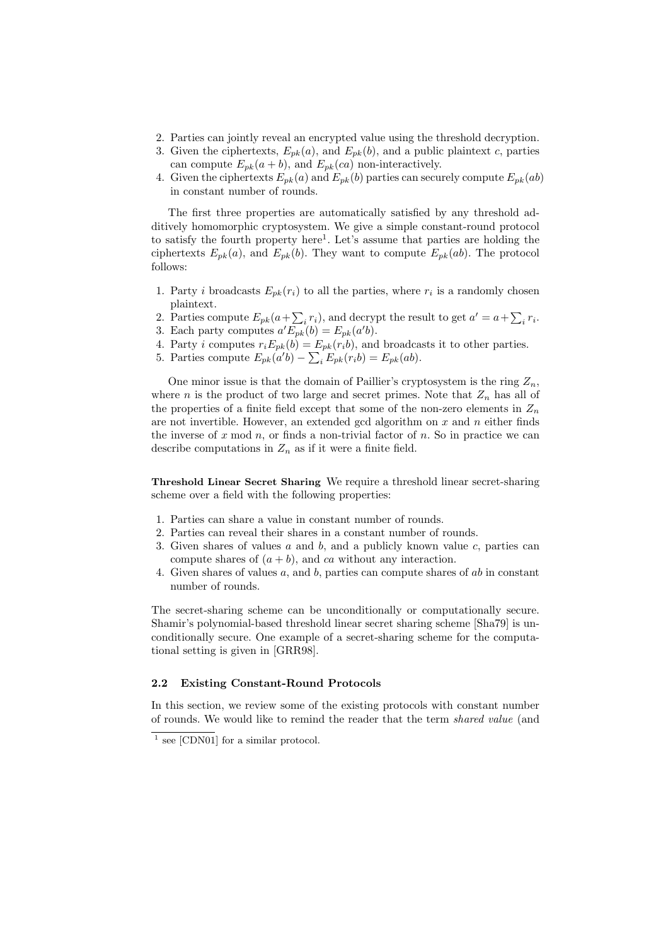- 2. Parties can jointly reveal an encrypted value using the threshold decryption.
- 3. Given the ciphertexts,  $E_{pk}(a)$ , and  $E_{pk}(b)$ , and a public plaintext c, parties can compute  $E_{pk}(a + b)$ , and  $E_{pk}(ca)$  non-interactively.
- 4. Given the ciphertexts  $E_{pk}(a)$  and  $E_{pk}(b)$  parties can securely compute  $E_{pk}(ab)$ in constant number of rounds.

The first three properties are automatically satisfied by any threshold additively homomorphic cryptosystem. We give a simple constant-round protocol to satisfy the fourth property here<sup>1</sup>. Let's assume that parties are holding the ciphertexts  $E_{pk}(a)$ , and  $E_{pk}(b)$ . They want to compute  $E_{pk}(ab)$ . The protocol follows:

- 1. Party *i* broadcasts  $E_{pk}(r_i)$  to all the parties, where  $r_i$  is a randomly chosen plaintext.
- 2. Parties compute  $E_{pk}(a + \sum_i r_i)$ , and decrypt the result to get  $a' = a + \sum_i r_i$ .
- 3. Each party computes  $a'E_{pk}(b) = E_{pk}(a'b)$ .
- 4. Party i computes  $r_i E_{pk}(b) = E_{pk}(r_i b)$ , and broadcasts it to other parties.
- 5. Parties compute  $E_{pk}(a'b) \sum_{i} E_{pk}(r_i b) = E_{pk}(ab)$ .

One minor issue is that the domain of Paillier's cryptosystem is the ring  $Z_n$ , where *n* is the product of two large and secret primes. Note that  $Z_n$  has all of the properties of a finite field except that some of the non-zero elements in  $Z_n$ are not invertible. However, an extended gcd algorithm on  $x$  and  $n$  either finds the inverse of  $x \mod n$ , or finds a non-trivial factor of  $n$ . So in practice we can describe computations in  $Z_n$  as if it were a finite field.

Threshold Linear Secret Sharing We require a threshold linear secret-sharing scheme over a field with the following properties:

- 1. Parties can share a value in constant number of rounds.
- 2. Parties can reveal their shares in a constant number of rounds.
- 3. Given shares of values  $a$  and  $b$ , and a publicly known value  $c$ , parties can compute shares of  $(a + b)$ , and ca without any interaction.
- 4. Given shares of values a, and b, parties can compute shares of ab in constant number of rounds.

The secret-sharing scheme can be unconditionally or computationally secure. Shamir's polynomial-based threshold linear secret sharing scheme [Sha79] is unconditionally secure. One example of a secret-sharing scheme for the computational setting is given in [GRR98].

### 2.2 Existing Constant-Round Protocols

In this section, we review some of the existing protocols with constant number of rounds. We would like to remind the reader that the term shared value (and

<sup>&</sup>lt;sup>1</sup> see [CDN01] for a similar protocol.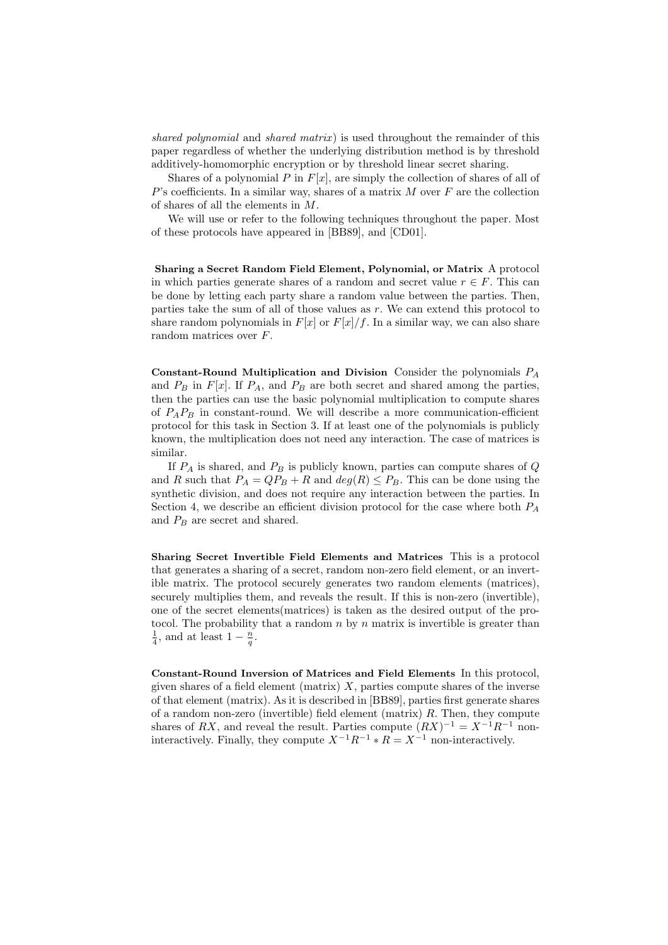shared polynomial and shared matrix) is used throughout the remainder of this paper regardless of whether the underlying distribution method is by threshold additively-homomorphic encryption or by threshold linear secret sharing.

Shares of a polynomial  $P$  in  $F[x]$ , are simply the collection of shares of all of P's coefficients. In a similar way, shares of a matrix  $M$  over  $F$  are the collection of shares of all the elements in M.

We will use or refer to the following techniques throughout the paper. Most of these protocols have appeared in [BB89], and [CD01].

Sharing a Secret Random Field Element, Polynomial, or Matrix A protocol in which parties generate shares of a random and secret value  $r \in F$ . This can be done by letting each party share a random value between the parties. Then, parties take the sum of all of those values as r. We can extend this protocol to share random polynomials in  $F[x]$  or  $F[x]/f$ . In a similar way, we can also share random matrices over F.

Constant-Round Multiplication and Division Consider the polynomials  $P_A$ and  $P_B$  in  $F[x]$ . If  $P_A$ , and  $P_B$  are both secret and shared among the parties, then the parties can use the basic polynomial multiplication to compute shares of  $P_{A}P_{B}$  in constant-round. We will describe a more communication-efficient protocol for this task in Section 3. If at least one of the polynomials is publicly known, the multiplication does not need any interaction. The case of matrices is similar.

If  $P_A$  is shared, and  $P_B$  is publicly known, parties can compute shares of  $Q$ and R such that  $P_A = QP_B + R$  and  $deg(R) \leq P_B$ . This can be done using the synthetic division, and does not require any interaction between the parties. In Section 4, we describe an efficient division protocol for the case where both  $P_A$ and  $P_B$  are secret and shared.

Sharing Secret Invertible Field Elements and Matrices This is a protocol that generates a sharing of a secret, random non-zero field element, or an invertible matrix. The protocol securely generates two random elements (matrices), securely multiplies them, and reveals the result. If this is non-zero (invertible), one of the secret elements(matrices) is taken as the desired output of the protocol. The probability that a random  $n$  by  $n$  matrix is invertible is greater than  $\frac{1}{4}$ , and at least  $1 - \frac{n}{q}$ .

Constant-Round Inversion of Matrices and Field Elements In this protocol, given shares of a field element (matrix)  $X$ , parties compute shares of the inverse of that element (matrix). As it is described in [BB89], parties first generate shares of a random non-zero (invertible) field element (matrix)  $R$ . Then, they compute shares of RX, and reveal the result. Parties compute  $(RX)^{-1} = X^{-1}R^{-1}$  noninteractively. Finally, they compute  $X^{-1}R^{-1} * R = X^{-1}$  non-interactively.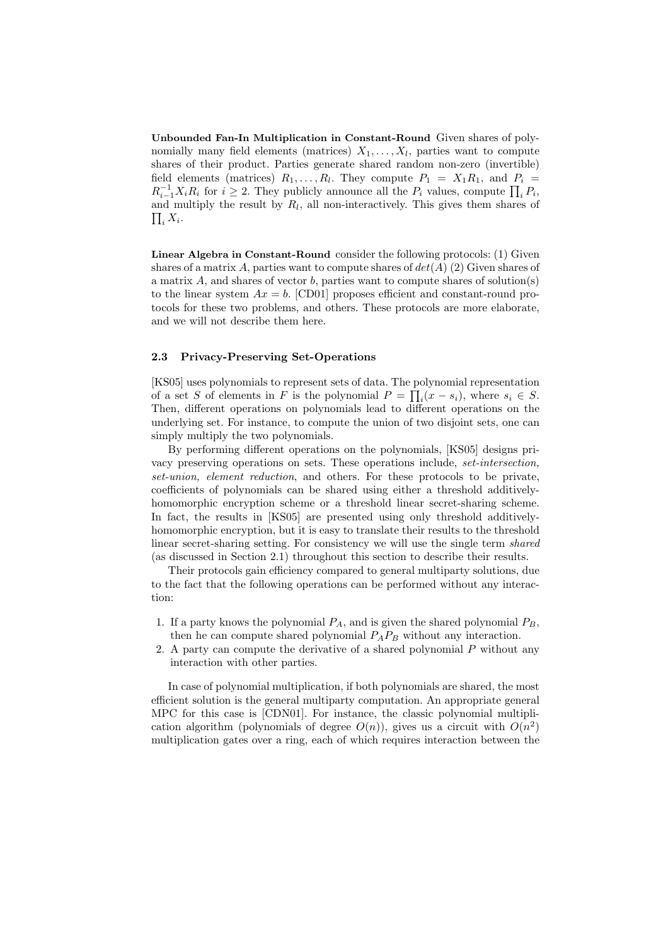Unbounded Fan-In Multiplication in Constant-Round Given shares of polynomially many field elements (matrices)  $X_1, \ldots, X_l$ , parties want to compute shares of their product. Parties generate shared random non-zero (invertible) field elements (matrices)  $R_1, \ldots, R_l$ . They compute  $P_1 = X_1 R_1$ , and  $P_i =$  $R_{i-1}^{-1}X_iR_i$  for  $i \geq 2$ . They publicly announce all the  $P_i$  values, compute  $\prod_i P_i$ , and multiply the result by  $R_l$ , all non-interactively. This gives them shares of  $\prod_i X_i$ .

Linear Algebra in Constant-Round consider the following protocols: (1) Given shares of a matrix A, parties want to compute shares of  $det(A)$  (2) Given shares of a matrix  $\hat{A}$ , and shares of vector  $\hat{b}$ , parties want to compute shares of solution(s) to the linear system  $Ax = b$ . [CD01] proposes efficient and constant-round protocols for these two problems, and others. These protocols are more elaborate, and we will not describe them here.

### 2.3 Privacy-Preserving Set-Operations

[KS05] uses polynomials to represent sets of data. The polynomial representation of a set S of elements in F is the polynomial  $P = \prod_i (x - s_i)$ , where  $s_i \in S$ . Then, different operations on polynomials lead to different operations on the underlying set. For instance, to compute the union of two disjoint sets, one can simply multiply the two polynomials.

By performing different operations on the polynomials, [KS05] designs privacy preserving operations on sets. These operations include, set-intersection, set-union, element reduction, and others. For these protocols to be private, coefficients of polynomials can be shared using either a threshold additivelyhomomorphic encryption scheme or a threshold linear secret-sharing scheme. In fact, the results in [KS05] are presented using only threshold additivelyhomomorphic encryption, but it is easy to translate their results to the threshold linear secret-sharing setting. For consistency we will use the single term shared (as discussed in Section 2.1) throughout this section to describe their results.

Their protocols gain efficiency compared to general multiparty solutions, due to the fact that the following operations can be performed without any interaction:

- 1. If a party knows the polynomial  $P_A$ , and is given the shared polynomial  $P_B$ , then he can compute shared polynomial  $P_A P_B$  without any interaction.
- 2. A party can compute the derivative of a shared polynomial  $P$  without any interaction with other parties.

In case of polynomial multiplication, if both polynomials are shared, the most efficient solution is the general multiparty computation. An appropriate general MPC for this case is [CDN01]. For instance, the classic polynomial multiplication algorithm (polynomials of degree  $O(n)$ ), gives us a circuit with  $O(n^2)$ multiplication gates over a ring, each of which requires interaction between the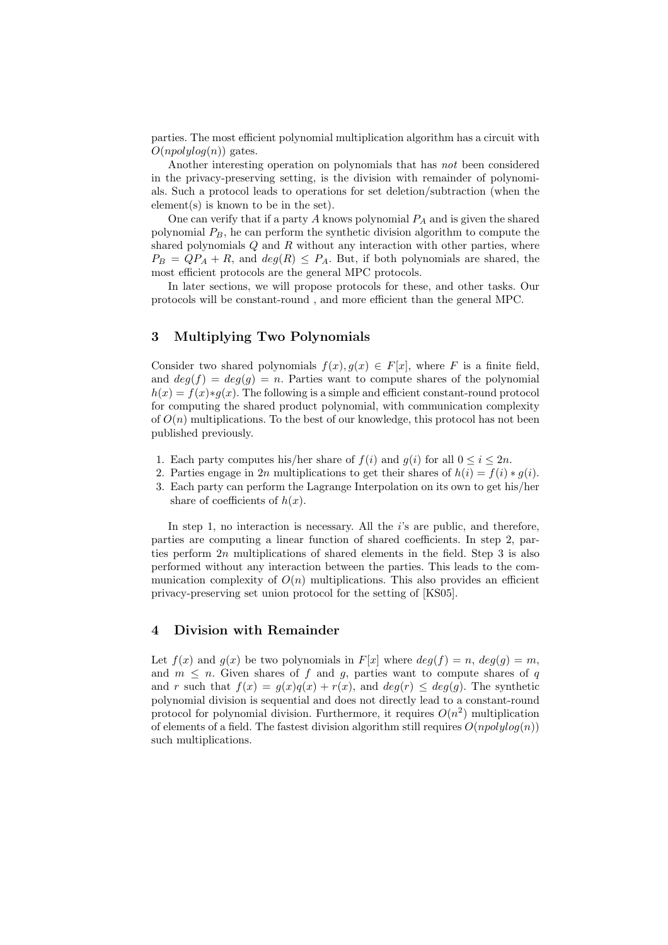parties. The most efficient polynomial multiplication algorithm has a circuit with  $O(npolylog(n))$  gates.

Another interesting operation on polynomials that has not been considered in the privacy-preserving setting, is the division with remainder of polynomials. Such a protocol leads to operations for set deletion/subtraction (when the element(s) is known to be in the set).

One can verify that if a party A knows polynomial  $P_A$  and is given the shared polynomial  $P_B$ , he can perform the synthetic division algorithm to compute the shared polynomials  $Q$  and  $R$  without any interaction with other parties, where  $P_B = QP_A + R$ , and  $deg(R) \leq P_A$ . But, if both polynomials are shared, the most efficient protocols are the general MPC protocols.

In later sections, we will propose protocols for these, and other tasks. Our protocols will be constant-round , and more efficient than the general MPC.

# 3 Multiplying Two Polynomials

Consider two shared polynomials  $f(x), g(x) \in F[x]$ , where F is a finite field, and  $deg(f) = deg(g) = n$ . Parties want to compute shares of the polynomial  $h(x) = f(x)*g(x)$ . The following is a simple and efficient constant-round protocol for computing the shared product polynomial, with communication complexity of  $O(n)$  multiplications. To the best of our knowledge, this protocol has not been published previously.

- 1. Each party computes his/her share of  $f(i)$  and  $q(i)$  for all  $0 \leq i \leq 2n$ .
- 2. Parties engage in 2n multiplications to get their shares of  $h(i) = f(i) * g(i)$ .
- 3. Each party can perform the Lagrange Interpolation on its own to get his/her share of coefficients of  $h(x)$ .

In step 1, no interaction is necessary. All the  $i$ 's are public, and therefore, parties are computing a linear function of shared coefficients. In step 2, parties perform  $2n$  multiplications of shared elements in the field. Step 3 is also performed without any interaction between the parties. This leads to the communication complexity of  $O(n)$  multiplications. This also provides an efficient privacy-preserving set union protocol for the setting of [KS05].

# 4 Division with Remainder

Let  $f(x)$  and  $g(x)$  be two polynomials in  $F[x]$  where  $deg(f) = n$ ,  $deg(g) = m$ , and  $m \leq n$ . Given shares of f and q, parties want to compute shares of q and r such that  $f(x) = g(x)g(x) + r(x)$ , and  $deg(r) \leq deg(g)$ . The synthetic polynomial division is sequential and does not directly lead to a constant-round protocol for polynomial division. Furthermore, it requires  $O(n^2)$  multiplication of elements of a field. The fastest division algorithm still requires  $O(npolylog(n))$ such multiplications.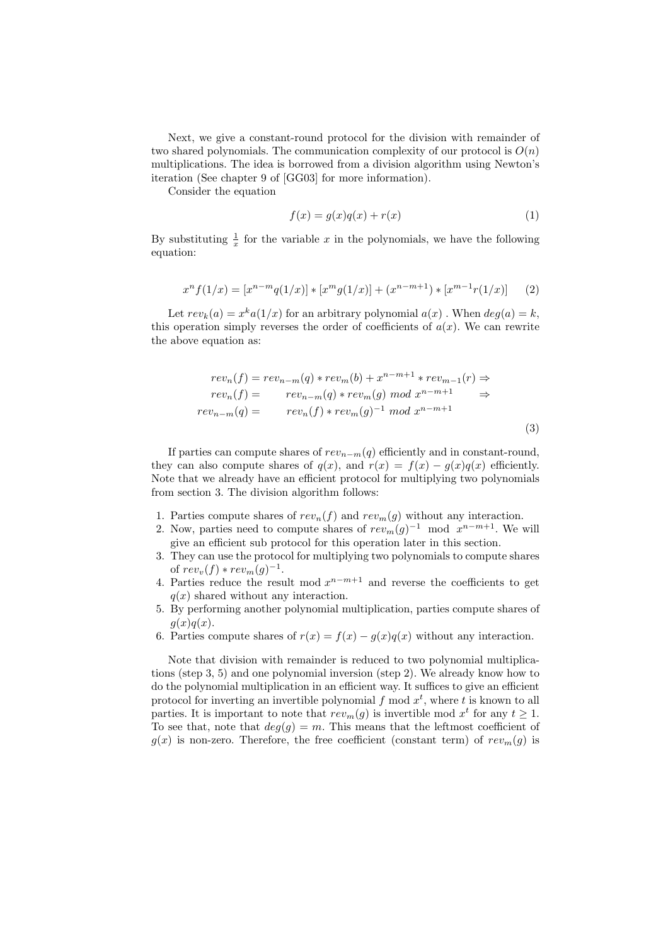Next, we give a constant-round protocol for the division with remainder of two shared polynomials. The communication complexity of our protocol is  $O(n)$ multiplications. The idea is borrowed from a division algorithm using Newton's iteration (See chapter 9 of [GG03] for more information).

Consider the equation

$$
f(x) = g(x)q(x) + r(x)
$$
\n<sup>(1)</sup>

By substituting  $\frac{1}{x}$  for the variable x in the polynomials, we have the following equation:

$$
x^{n} f(1/x) = [x^{n-m} q(1/x)] * [x^{m} g(1/x)] + (x^{n-m+1}) * [x^{m-1} r(1/x)] \qquad (2)
$$

Let  $rev_k(a) = x^k a(1/x)$  for an arbitrary polynomial  $a(x)$ . When  $deg(a) = k$ , this operation simply reverses the order of coefficients of  $a(x)$ . We can rewrite the above equation as:

$$
rev_n(f) = rev_{n-m}(q) * rev_m(b) + x^{n-m+1} * rev_{m-1}(r) \Rightarrow
$$
  
\n
$$
rev_n(f) = rev_{n-m}(q) * rev_m(g) \mod x^{n-m+1} \Rightarrow
$$
  
\n
$$
rev_{n-m}(q) = rev_n(f) * rev_m(g)^{-1} \mod x^{n-m+1}
$$
  
\n(3)

If parties can compute shares of  $rev_{n-m}(q)$  efficiently and in constant-round, they can also compute shares of  $q(x)$ , and  $r(x) = f(x) - q(x)q(x)$  efficiently. Note that we already have an efficient protocol for multiplying two polynomials from section 3. The division algorithm follows:

- 1. Parties compute shares of  $rev_n(f)$  and  $rev_m(g)$  without any interaction.
- 2. Now, parties need to compute shares of  $rev_m(g)^{-1}$  mod  $x^{n-m+1}$ . We will give an efficient sub protocol for this operation later in this section.
- 3. They can use the protocol for multiplying two polynomials to compute shares of  $rev_v(f) * rev_m(g)^{-1}$ .
- 4. Parties reduce the result mod  $x^{n-m+1}$  and reverse the coefficients to get  $q(x)$  shared without any interaction.
- 5. By performing another polynomial multiplication, parties compute shares of  $q(x)q(x)$ .
- 6. Parties compute shares of  $r(x) = f(x) g(x)q(x)$  without any interaction.

Note that division with remainder is reduced to two polynomial multiplications (step 3, 5) and one polynomial inversion (step 2). We already know how to do the polynomial multiplication in an efficient way. It suffices to give an efficient protocol for inverting an invertible polynomial  $f \mod x^t$ , where  $t$  is known to all parties. It is important to note that  $rev_m(g)$  is invertible mod  $x^t$  for any  $t \geq 1$ . To see that, note that  $deg(q) = m$ . This means that the leftmost coefficient of  $g(x)$  is non-zero. Therefore, the free coefficient (constant term) of  $rev_m(g)$  is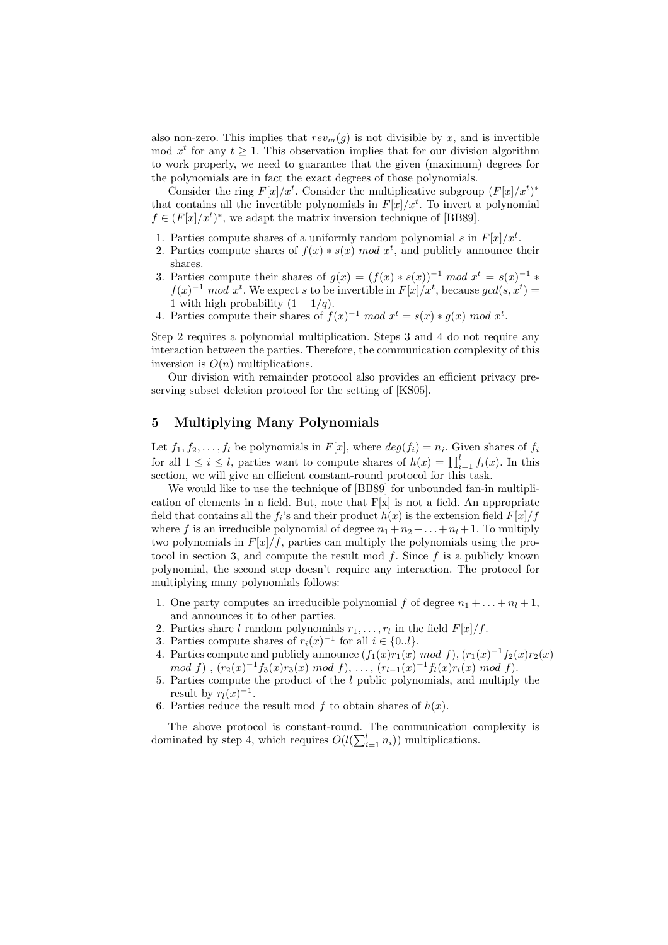also non-zero. This implies that  $rev_m(g)$  is not divisible by x, and is invertible mod  $x^t$  for any  $t \geq 1$ . This observation implies that for our division algorithm to work properly, we need to guarantee that the given (maximum) degrees for the polynomials are in fact the exact degrees of those polynomials.

Consider the ring  $F[x]/x^t$ . Consider the multiplicative subgroup  $(F[x]/x^t)^*$ that contains all the invertible polynomials in  $F[x]/x^t$ . To invert a polynomial  $f \in (F[x]/x^t)^*$ , we adapt the matrix inversion technique of [BB89].

- 1. Parties compute shares of a uniformly random polynomial s in  $F[x]/x^t$ .
- 2. Parties compute shares of  $f(x) * s(x) \mod x^t$ , and publicly announce their shares.
- 3. Parties compute their shares of  $g(x) = (f(x) * s(x))^{-1} \mod x^t = s(x)^{-1} *$  $f(x)^{-1} \mod x^t$ . We expect s to be invertible in  $F[x]/x^t$ , because  $gcd(s, x^t) =$ 1 with high probability  $(1 - 1/q)$ .
- 4. Parties compute their shares of  $f(x)^{-1} \mod x^t = s(x) * g(x) \mod x^t$ .

Step 2 requires a polynomial multiplication. Steps 3 and 4 do not require any interaction between the parties. Therefore, the communication complexity of this inversion is  $O(n)$  multiplications.

Our division with remainder protocol also provides an efficient privacy preserving subset deletion protocol for the setting of [KS05].

# 5 Multiplying Many Polynomials

Let  $f_1, f_2, \ldots, f_l$  be polynomials in  $F[x]$ , where  $deg(f_i) = n_i$ . Given shares of  $f_i$ for all  $1 \leq i \leq l$ , parties want to compute shares of  $h(x) = \prod_{i=1}^{l} f_i(x)$ . In this section, we will give an efficient constant-round protocol for this task.

We would like to use the technique of [BB89] for unbounded fan-in multiplication of elements in a field. But, note that  $F[x]$  is not a field. An appropriate field that contains all the  $f_i$ 's and their product  $h(x)$  is the extension field  $F[x]/f$ where f is an irreducible polynomial of degree  $n_1 + n_2 + \ldots + n_l + 1$ . To multiply two polynomials in  $F[x]/f$ , parties can multiply the polynomials using the protocol in section 3, and compute the result mod  $f$ . Since  $f$  is a publicly known polynomial, the second step doesn't require any interaction. The protocol for multiplying many polynomials follows:

- 1. One party computes an irreducible polynomial f of degree  $n_1 + \ldots + n_l + 1$ , and announces it to other parties.
- 2. Parties share l random polynomials  $r_1, \ldots, r_l$  in the field  $F[x]/f$ .
- 3. Parties compute shares of  $r_i(x)^{-1}$  for all  $i \in \{0..l\}$ .
- 4. Parties compute and publicly announce  $(f_1(x)r_1(x) \mod f)$ ,  $(r_1(x)^{-1}f_2(x)r_2(x)$  $mod\ f)$ ,  $(r_2(x)^{-1}f_3(x)r_3(x)\ mod\ f)$ , ...,  $(r_{l-1}(x)^{-1}f_l(x)r_l(x)\ mod\ f)$ .
- 5. Parties compute the product of the l public polynomials, and multiply the result by  $r_l(x)^{-1}$ .
- 6. Parties reduce the result mod  $f$  to obtain shares of  $h(x)$ .

The above protocol is constant-round. The communication complexity is dominated by step 4, which requires  $O(l(\sum_{i=1}^{l} n_i))$  multiplications.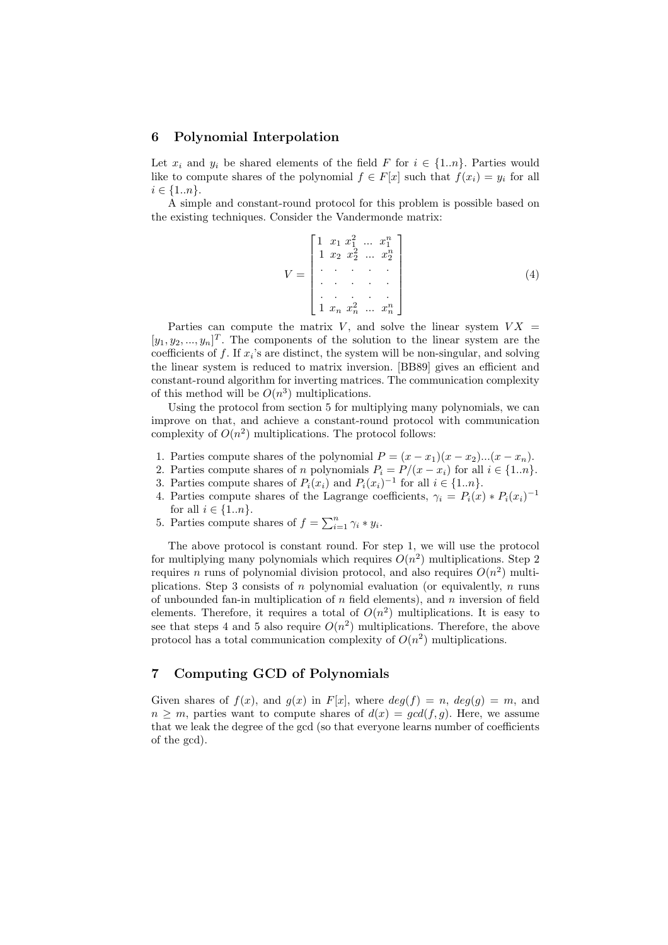### 6 Polynomial Interpolation

Let  $x_i$  and  $y_i$  be shared elements of the field F for  $i \in \{1..n\}$ . Parties would like to compute shares of the polynomial  $f \in F[x]$  such that  $f(x_i) = y_i$  for all  $i \in \{1..n\}.$ 

A simple and constant-round protocol for this problem is possible based on the existing techniques. Consider the Vandermonde matrix:

$$
V = \begin{bmatrix} 1 & x_1 & x_1^2 & \dots & x_1^n \\ 1 & x_2 & x_2^2 & \dots & x_2^n \\ \vdots & \vdots & \vdots & \ddots & \vdots \\ \vdots & \vdots & \vdots & \ddots & \vdots \\ 1 & x_n & x_n^2 & \dots & x_n^n \end{bmatrix}
$$
 (4)

Parties can compute the matrix V, and solve the linear system  $V X =$  $[y_1, y_2, ..., y_n]^T$ . The components of the solution to the linear system are the coefficients of f. If  $x_i$ 's are distinct, the system will be non-singular, and solving the linear system is reduced to matrix inversion. [BB89] gives an efficient and constant-round algorithm for inverting matrices. The communication complexity of this method will be  $O(n^3)$  multiplications.

Using the protocol from section 5 for multiplying many polynomials, we can improve on that, and achieve a constant-round protocol with communication complexity of  $O(n^2)$  multiplications. The protocol follows:

- 1. Parties compute shares of the polynomial  $P = (x x_1)(x x_2)...(x x_n)$ .
- 2. Parties compute shares of n polynomials  $P_i = P/(x x_i)$  for all  $i \in \{1..n\}$ .
- 3. Parties compute shares of  $P_i(x_i)$  and  $P_i(x_i)^{-1}$  for all  $i \in \{1..n\}$ .
- 4. Parties compute shares of the Lagrange coefficients,  $\gamma_i = P_i(x) * P_i(x_i)^{-1}$ for all  $i \in \{1..n\}$ .
- 5. Parties compute shares of  $f = \sum_{i=1}^{n} \gamma_i * y_i$ .

The above protocol is constant round. For step 1, we will use the protocol for multiplying many polynomials which requires  $O(n^2)$  multiplications. Step 2 requires n runs of polynomial division protocol, and also requires  $O(n^2)$  multiplications. Step 3 consists of n polynomial evaluation (or equivalently, n runs of unbounded fan-in multiplication of n field elements), and n inversion of field elements. Therefore, it requires a total of  $O(n^2)$  multiplications. It is easy to see that steps 4 and 5 also require  $O(n^2)$  multiplications. Therefore, the above protocol has a total communication complexity of  $O(n^2)$  multiplications.

# 7 Computing GCD of Polynomials

Given shares of  $f(x)$ , and  $g(x)$  in  $F[x]$ , where  $deg(f) = n$ ,  $deg(g) = m$ , and  $n > m$ , parties want to compute shares of  $d(x) = \gcd(f, q)$ . Here, we assume that we leak the degree of the gcd (so that everyone learns number of coefficients of the gcd).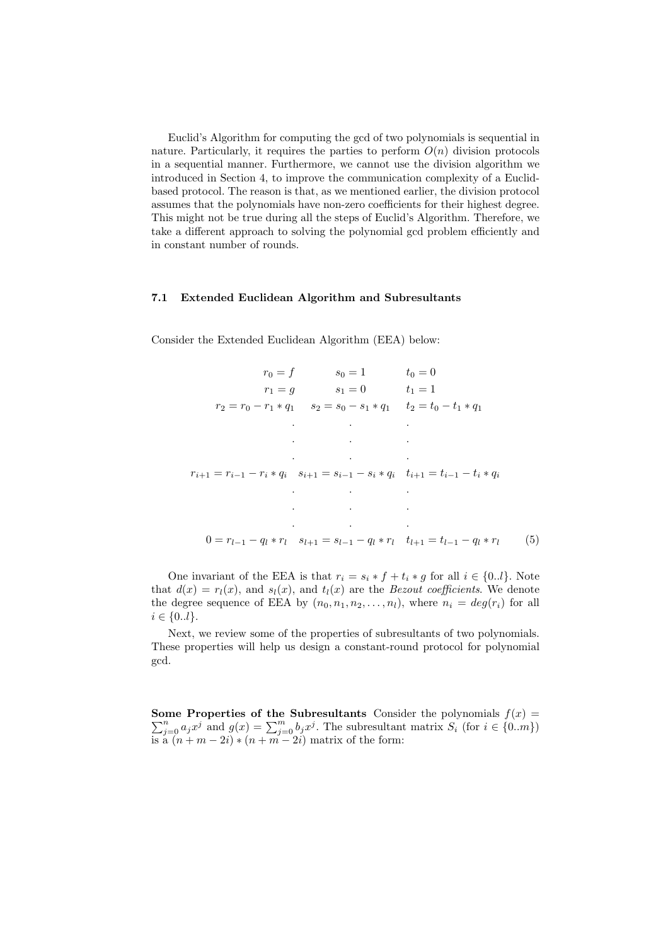Euclid's Algorithm for computing the gcd of two polynomials is sequential in nature. Particularly, it requires the parties to perform  $O(n)$  division protocols in a sequential manner. Furthermore, we cannot use the division algorithm we introduced in Section 4, to improve the communication complexity of a Euclidbased protocol. The reason is that, as we mentioned earlier, the division protocol assumes that the polynomials have non-zero coefficients for their highest degree. This might not be true during all the steps of Euclid's Algorithm. Therefore, we take a different approach to solving the polynomial gcd problem efficiently and in constant number of rounds.

### 7.1 Extended Euclidean Algorithm and Subresultants

Consider the Extended Euclidean Algorithm (EEA) below:

|                                                                                                 | $r_0 = f$ $s_0 = 1$ $t_0 = 0$                                                                                                        |     |
|-------------------------------------------------------------------------------------------------|--------------------------------------------------------------------------------------------------------------------------------------|-----|
|                                                                                                 | $r_1 = g$ $s_1 = 0$ $t_1 = 1$                                                                                                        |     |
|                                                                                                 | $r_2 = r_0 - r_1 * q_1$ $s_2 = s_0 - s_1 * q_1$ $t_2 = t_0 - t_1 * q_1$                                                              |     |
|                                                                                                 | $\mathcal{O}(\mathcal{A})$ and $\mathcal{O}(\mathcal{A})$ are the set of the set of the set of the set of $\mathcal{O}(\mathcal{A})$ |     |
|                                                                                                 | the control of the control of the control of the control of                                                                          |     |
|                                                                                                 | the contract of the contract of the contract of the con-                                                                             |     |
| $r_{i+1} = r_{i-1} - r_i * q_i$ $s_{i+1} = s_{i-1} - s_i * q_i$ $t_{i+1} = t_{i-1} - t_i * q_i$ |                                                                                                                                      |     |
|                                                                                                 | the control of the control of the control of the control of the control of                                                           |     |
|                                                                                                 | $\mathcal{L}(\mathcal{L})$ and the contribution of the contribution of the contribution of $\mathcal{L}(\mathcal{L})$                |     |
|                                                                                                 | the contract of the contract of the contract of the contract of                                                                      |     |
|                                                                                                 | $0 = r_{l-1} - q_l * r_l$ $s_{l+1} = s_{l-1} - q_l * r_l$ $t_{l+1} = t_{l-1} - q_l * r_l$                                            | (5) |

One invariant of the EEA is that  $r_i = s_i * f + t_i * g$  for all  $i \in \{0..l\}$ . Note that  $d(x) = r_l(x)$ , and  $s_l(x)$ , and  $t_l(x)$  are the *Bezout coefficients*. We denote the degree sequence of EEA by  $(n_0, n_1, n_2, \ldots, n_l)$ , where  $n_i = deg(r_i)$  for all  $i \in \{0..l\}.$ 

Next, we review some of the properties of subresultants of two polynomials. These properties will help us design a constant-round protocol for polynomial gcd.

Some Properties of the Subresultants Consider the polynomials  $f(x) =$  $\sum_{j=0}^{n} a_j x^j$  and  $g(x) = \sum_{j=0}^{m} b_j x^j$ . The subresultant matrix  $S_i$  (for  $i \in \{0..m\}$ ) is a  $(n + m - 2i) * (n + m - 2i)$  matrix of the form: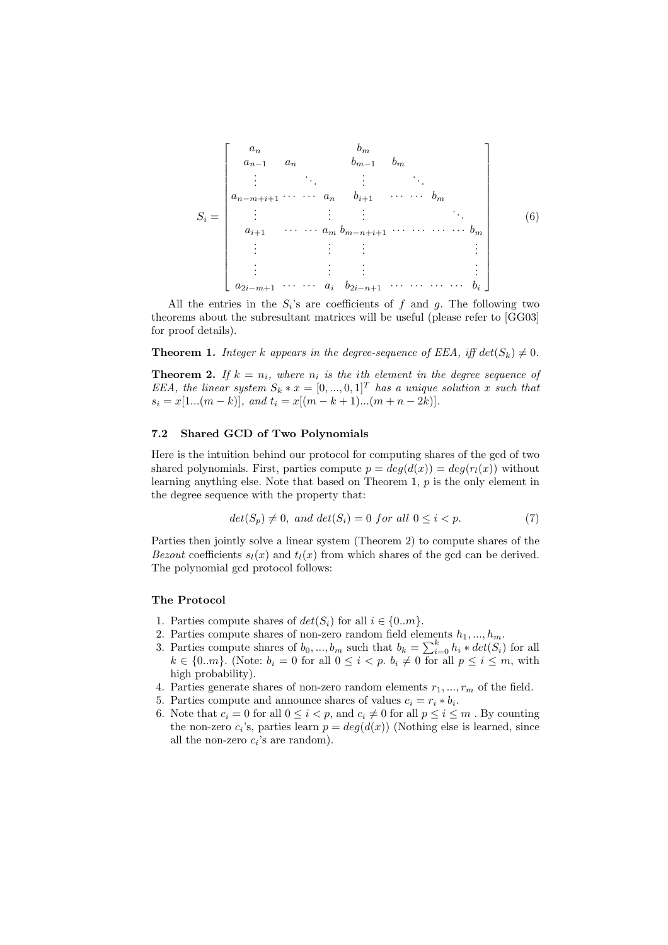

All the entries in the  $S_i$ 's are coefficients of f and g. The following two theorems about the subresultant matrices will be useful (please refer to [GG03] for proof details).

**Theorem 1.** Integer k appears in the degree-sequence of EEA, iff  $det(S_k) \neq 0$ .

**Theorem 2.** If  $k = n_i$ , where  $n_i$  is the ith element in the degree sequence of EEA, the linear system  $S_k * x = [0, ..., 0, 1]^T$  has a unique solution x such that  $s_i = x[1...(m-k)]$ , and  $t_i = x[(m-k+1)...(m+n-2k)]$ .

### 7.2 Shared GCD of Two Polynomials

Here is the intuition behind our protocol for computing shares of the gcd of two shared polynomials. First, parties compute  $p = deg(d(x)) = deg(r<sub>l</sub>(x))$  without learning anything else. Note that based on Theorem 1,  $p$  is the only element in the degree sequence with the property that:

$$
det(S_p) \neq 0, \ and \ det(S_i) = 0 \ for \ all \ 0 \leq i < p. \tag{7}
$$

Parties then jointly solve a linear system (Theorem 2) to compute shares of the Bezout coefficients  $s_i(x)$  and  $t_i(x)$  from which shares of the gcd can be derived. The polynomial gcd protocol follows:

### The Protocol

- 1. Parties compute shares of  $det(S_i)$  for all  $i \in \{0..m\}$ .
- 2. Parties compute shares of non-zero random field elements  $h_1, ..., h_m$ .
- 3. Parties compute shares of  $b_0, ..., b_m$  such that  $b_k = \sum_{i=0}^k h_i * det(S_i)$  for all  $k \in \{0..m\}$ . (Note:  $b_i = 0$  for all  $0 \leq i \leq p$ .  $b_i \neq 0$  for all  $p \leq i \leq m$ , with high probability).
- 4. Parties generate shares of non-zero random elements  $r_1, ..., r_m$  of the field.
- 5. Parties compute and announce shares of values  $c_i = r_i * b_i$ .
- 6. Note that  $c_i = 0$  for all  $0 \leq i < p$ , and  $c_i \neq 0$  for all  $p \leq i \leq m$ . By counting the non-zero  $c_i$ 's, parties learn  $p = deg(d(x))$  (Nothing else is learned, since all the non-zero  $c_i$ 's are random).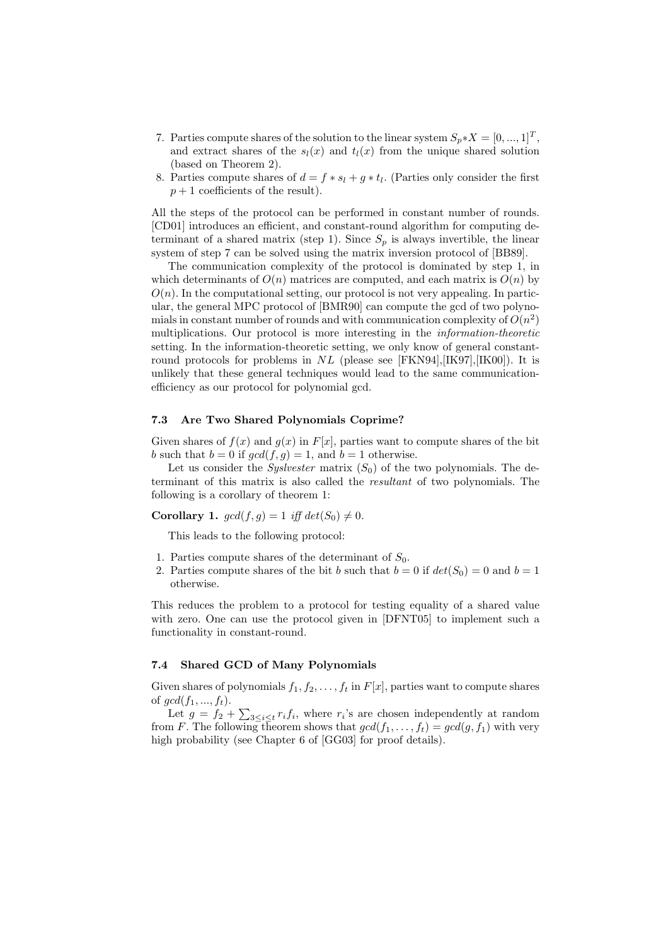- 7. Parties compute shares of the solution to the linear system  $S_p * X = [0, ..., 1]^T$ , and extract shares of the  $s_l(x)$  and  $t_l(x)$  from the unique shared solution (based on Theorem 2).
- 8. Parties compute shares of  $d = f * s_l + g * t_l$ . (Parties only consider the first  $p + 1$  coefficients of the result).

All the steps of the protocol can be performed in constant number of rounds. [CD01] introduces an efficient, and constant-round algorithm for computing determinant of a shared matrix (step 1). Since  $S_p$  is always invertible, the linear system of step 7 can be solved using the matrix inversion protocol of [BB89].

The communication complexity of the protocol is dominated by step 1, in which determinants of  $O(n)$  matrices are computed, and each matrix is  $O(n)$  by  $O(n)$ . In the computational setting, our protocol is not very appealing. In particular, the general MPC protocol of [BMR90] can compute the gcd of two polynomials in constant number of rounds and with communication complexity of  $O(n^2)$ multiplications. Our protocol is more interesting in the information-theoretic setting. In the information-theoretic setting, we only know of general constantround protocols for problems in  $NL$  (please see [FKN94],[IK97],[IK00]). It is unlikely that these general techniques would lead to the same communicationefficiency as our protocol for polynomial gcd.

### 7.3 Are Two Shared Polynomials Coprime?

Given shares of  $f(x)$  and  $g(x)$  in  $F[x]$ , parties want to compute shares of the bit b such that  $b = 0$  if  $gcd(f, g) = 1$ , and  $b = 1$  otherwise.

Let us consider the *Syslvester* matrix  $(S_0)$  of the two polynomials. The determinant of this matrix is also called the resultant of two polynomials. The following is a corollary of theorem 1:

Corollary 1.  $gcd(f, g) = 1$  iff  $det(S_0) \neq 0$ .

This leads to the following protocol:

- 1. Parties compute shares of the determinant of  $S_0$ .
- 2. Parties compute shares of the bit b such that  $b = 0$  if  $det(S_0) = 0$  and  $b = 1$ otherwise.

This reduces the problem to a protocol for testing equality of a shared value with zero. One can use the protocol given in [DFNT05] to implement such a functionality in constant-round.

### 7.4 Shared GCD of Many Polynomials

Given shares of polynomials  $f_1, f_2, \ldots, f_t$  in  $F[x]$ , parties want to compute shares of  $gcd(f_1, ..., f_t)$ .

Let  $g = f_2 + \sum_{3 \leq i \leq t} r_i f_i$ , where  $r_i$ 's are chosen independently at random from F. The following theorem shows that  $gcd(f_1, \ldots, f_t) = gcd(g, f_1)$  with very high probability (see Chapter 6 of [GG03] for proof details).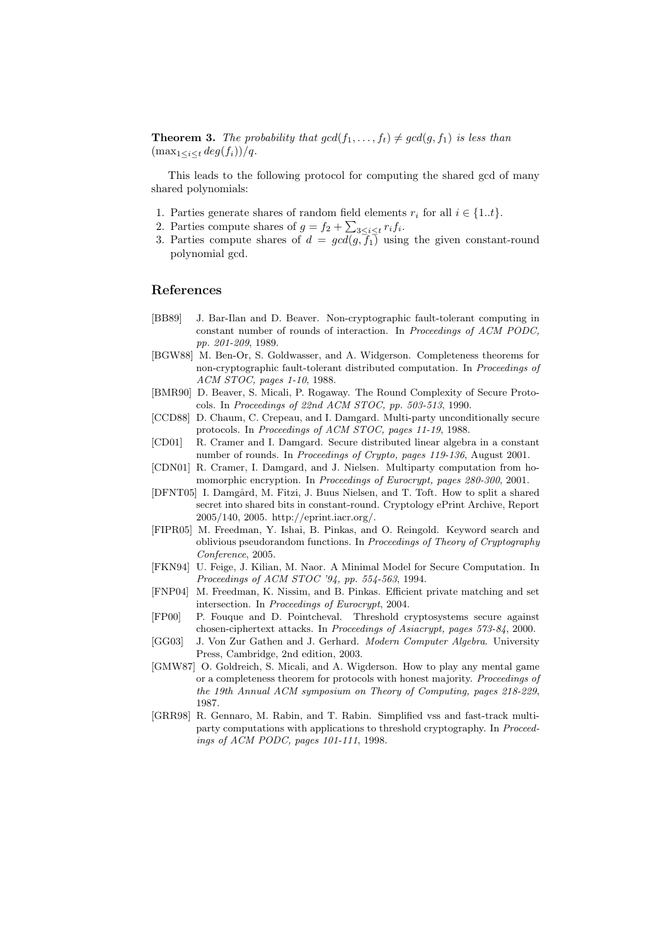**Theorem 3.** The probability that  $gcd(f_1, \ldots, f_t) \neq gcd(g, f_1)$  is less than  $(\max_{1\leq i\leq t} deg(f_i))/q.$ 

This leads to the following protocol for computing the shared gcd of many shared polynomials:

- 1. Parties generate shares of random field elements  $r_i$  for all  $i \in \{1..t\}$ .
- 2. Parties compute shares of  $g = f_2 + \sum_{3 \leq i \leq t} r_i f_i$ .
- 3. Parties compute shares of  $d = \gcd(q, f_1)$  using the given constant-round polynomial gcd.

# References

- [BB89] J. Bar-Ilan and D. Beaver. Non-cryptographic fault-tolerant computing in constant number of rounds of interaction. In Proceedings of ACM PODC, pp. 201-209, 1989.
- [BGW88] M. Ben-Or, S. Goldwasser, and A. Widgerson. Completeness theorems for non-cryptographic fault-tolerant distributed computation. In Proceedings of ACM STOC, pages 1-10, 1988.
- [BMR90] D. Beaver, S. Micali, P. Rogaway. The Round Complexity of Secure Protocols. In Proceedings of 22nd ACM STOC, pp. 503-513, 1990.
- [CCD88] D. Chaum, C. Crepeau, and I. Damgard. Multi-party unconditionally secure protocols. In Proceedings of ACM STOC, pages 11-19, 1988.
- [CD01] R. Cramer and I. Damgard. Secure distributed linear algebra in a constant number of rounds. In Proceedings of Crypto, pages 119-136, August 2001.
- [CDN01] R. Cramer, I. Damgard, and J. Nielsen. Multiparty computation from homomorphic encryption. In Proceedings of Eurocrypt, pages 280-300, 2001.
- [DFNT05] I. Damgård, M. Fitzi, J. Buus Nielsen, and T. Toft. How to split a shared secret into shared bits in constant-round. Cryptology ePrint Archive, Report 2005/140, 2005. http://eprint.iacr.org/.
- [FIPR05] M. Freedman, Y. Ishai, B. Pinkas, and O. Reingold. Keyword search and oblivious pseudorandom functions. In Proceedings of Theory of Cryptography Conference, 2005.
- [FKN94] U. Feige, J. Kilian, M. Naor. A Minimal Model for Secure Computation. In Proceedings of ACM STOC '94, pp. 554-563, 1994.
- [FNP04] M. Freedman, K. Nissim, and B. Pinkas. Efficient private matching and set intersection. In Proceedings of Eurocrypt, 2004.
- [FP00] P. Fouque and D. Pointcheval. Threshold cryptosystems secure against chosen-ciphertext attacks. In Proceedings of Asiacrypt, pages 573-84, 2000.
- [GG03] J. Von Zur Gathen and J. Gerhard. Modern Computer Algebra. University Press, Cambridge, 2nd edition, 2003.
- [GMW87] O. Goldreich, S. Micali, and A. Wigderson. How to play any mental game or a completeness theorem for protocols with honest majority. Proceedings of the 19th Annual ACM symposium on Theory of Computing, pages 218-229, 1987.
- [GRR98] R. Gennaro, M. Rabin, and T. Rabin. Simplified vss and fast-track multiparty computations with applications to threshold cryptography. In Proceedings of ACM PODC, pages 101-111, 1998.